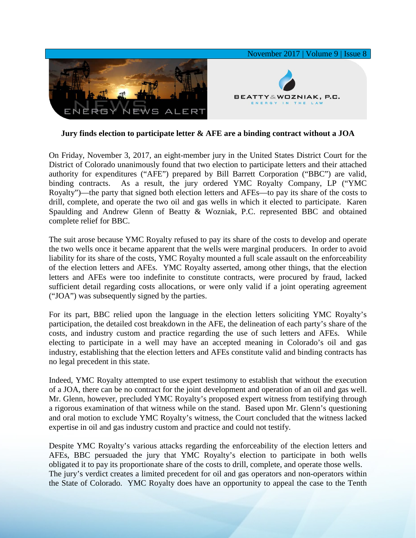

**Jury finds election to participate letter & AFE are a binding contract without a JOA**

On Friday, November 3, 2017, an eight-member jury in the United States District Court for the District of Colorado unanimously found that two election to participate letters and their attached authority for expenditures ("AFE") prepared by Bill Barrett Corporation ("BBC") are valid, binding contracts. As a result, the jury ordered YMC Royalty Company, LP ("YMC Royalty")—the party that signed both election letters and AFEs—to pay its share of the costs to drill, complete, and operate the two oil and gas wells in which it elected to participate. Karen Spaulding and Andrew Glenn of Beatty & Wozniak, P.C. represented BBC and obtained complete relief for BBC.

The suit arose because YMC Royalty refused to pay its share of the costs to develop and operate the two wells once it became apparent that the wells were marginal producers. In order to avoid liability for its share of the costs, YMC Royalty mounted a full scale assault on the enforceability of the election letters and AFEs. YMC Royalty asserted, among other things, that the election letters and AFEs were too indefinite to constitute contracts, were procured by fraud, lacked sufficient detail regarding costs allocations, or were only valid if a joint operating agreement ("JOA") was subsequently signed by the parties.

For its part, BBC relied upon the language in the election letters soliciting YMC Royalty's participation, the detailed cost breakdown in the AFE, the delineation of each party's share of the costs, and industry custom and practice regarding the use of such letters and AFEs. While electing to participate in a well may have an accepted meaning in Colorado's oil and gas industry, establishing that the election letters and AFEs constitute valid and binding contracts has no legal precedent in this state.

Indeed, YMC Royalty attempted to use expert testimony to establish that without the execution of a JOA, there can be no contract for the joint development and operation of an oil and gas well. Mr. Glenn, however, precluded YMC Royalty's proposed expert witness from testifying through a rigorous examination of that witness while on the stand. Based upon Mr. Glenn's questioning and oral motion to exclude YMC Royalty's witness, the Court concluded that the witness lacked expertise in oil and gas industry custom and practice and could not testify.

Despite YMC Royalty's various attacks regarding the enforceability of the election letters and AFEs, BBC persuaded the jury that YMC Royalty's election to participate in both wells obligated it to pay its proportionate share of the costs to drill, complete, and operate those wells. The jury's verdict creates a limited precedent for oil and gas operators and non-operators within the State of Colorado. YMC Royalty does have an opportunity to appeal the case to the Tenth